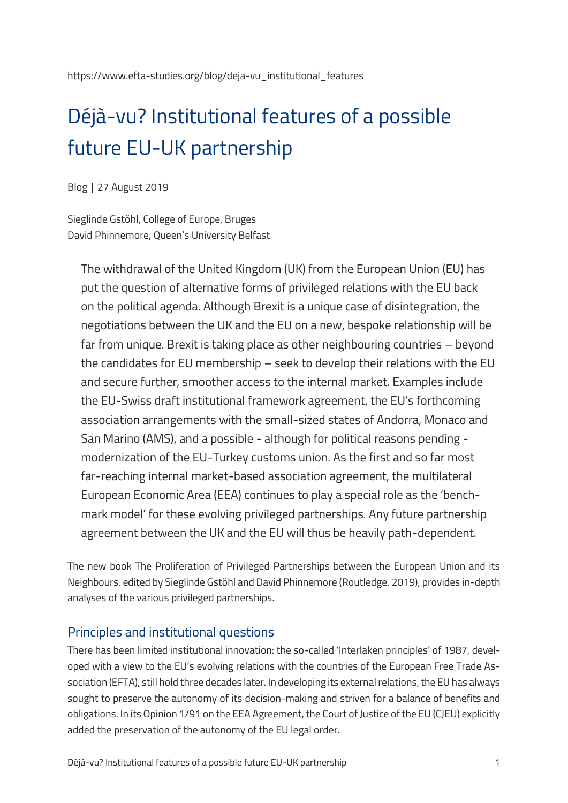https://www.efta-studies.org/blog/deja-vu\_institutional\_features

# Déjà-vu? Institutional features of a possible future EU-UK partnership

Blog │ 27 August 2019

Sieglinde Gstöhl, College of Europe, Bruges David Phinnemore, Queen's University Belfast

The withdrawal of the United Kingdom (UK) from the European Union (EU) has put the question of alternative forms of privileged relations with the EU back on the political agenda. Although Brexit is a unique case of disintegration, the negotiations between the UK and the EU on a new, bespoke relationship will be far from unique. Brexit is taking place as other neighbouring countries – beyond the candidates for EU membership – seek to develop their relations with the EU and secure further, smoother access to the internal market. Examples include the EU-Swiss draft institutional framework agreement, the EU's forthcoming association arrangements with the small-sized states of Andorra, Monaco and San Marino (AMS), and a possible - although for political reasons pending modernization of the EU-Turkey customs union. As the first and so far most far-reaching internal market-based association agreement, the multilateral European Economic Area (EEA) continues to play a special role as the 'benchmark model' for these evolving privileged partnerships. Any future partnership agreement between the UK and the EU will thus be heavily path-dependent.

The new book The Proliferation of Privileged Partnerships between the European Union and its Neighbours, edited by Sieglinde Gstöhl and David Phinnemore (Routledge, 2019), provides in-depth analyses of the various privileged partnerships.

### Principles and institutional questions

There has been limited institutional innovation: the so-called 'Interlaken principles' of 1987, developed with a view to the EU's evolving relations with the countries of the European Free Trade Association (EFTA), still hold three decades later. In developing its external relations, the EU has always sought to preserve the autonomy of its decision-making and striven for a balance of benefits and obligations. In its Opinion 1/91 on the EEA Agreement, the Court of Justice of the EU (CJEU) explicitly added the preservation of the autonomy of the EU legal order.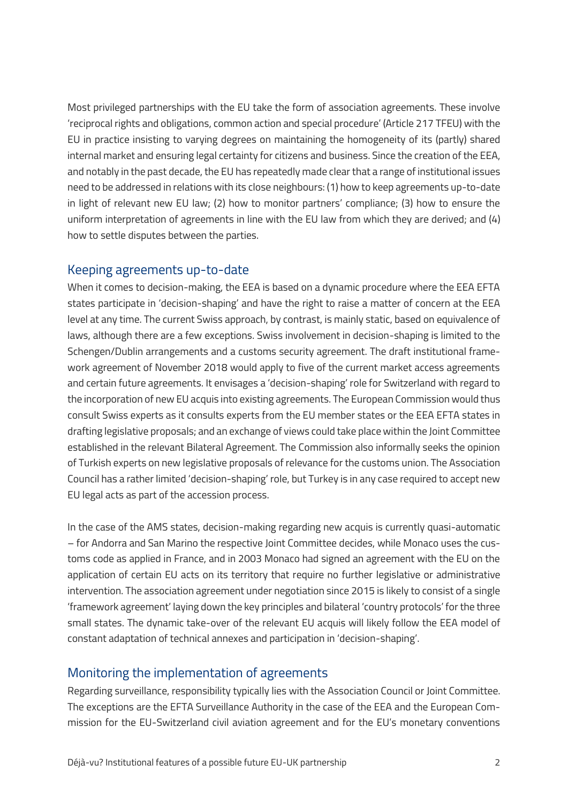Most privileged partnerships with the EU take the form of association agreements. These involve 'reciprocal rights and obligations, common action and special procedure' (Article 217 TFEU) with the EU in practice insisting to varying degrees on maintaining the homogeneity of its (partly) shared internal market and ensuring legal certainty for citizens and business. Since the creation of the EEA, and notably in the past decade, the EU has repeatedly made clear that a range of institutional issues need to be addressed in relations with its close neighbours: (1) how to keep agreements up-to-date in light of relevant new EU law; (2) how to monitor partners' compliance; (3) how to ensure the uniform interpretation of agreements in line with the EU law from which they are derived; and (4) how to settle disputes between the parties.

#### Keeping agreements up-to-date

When it comes to decision-making, the EEA is based on a dynamic procedure where the EEA EFTA states participate in 'decision-shaping' and have the right to raise a matter of concern at the EEA level at any time. The current Swiss approach, by contrast, is mainly static, based on equivalence of laws, although there are a few exceptions. Swiss involvement in decision-shaping is limited to the Schengen/Dublin arrangements and a customs security agreement. The draft institutional framework agreement of November 2018 would apply to five of the current market access agreements and certain future agreements. It envisages a 'decision-shaping' role for Switzerland with regard to the incorporation of new EU acquis into existing agreements. The European Commission would thus consult Swiss experts as it consults experts from the EU member states or the EEA EFTA states in drafting legislative proposals; and an exchange of views could take place within the Joint Committee established in the relevant Bilateral Agreement. The Commission also informally seeks the opinion of Turkish experts on new legislative proposals of relevance for the customs union. The Association Council has a rather limited 'decision-shaping' role, but Turkey is in any case required to accept new EU legal acts as part of the accession process.

In the case of the AMS states, decision-making regarding new acquis is currently quasi-automatic – for Andorra and San Marino the respective Joint Committee decides, while Monaco uses the customs code as applied in France, and in 2003 Monaco had signed an agreement with the EU on the application of certain EU acts on its territory that require no further legislative or administrative intervention. The association agreement under negotiation since 2015 is likely to consist of a single 'framework agreement' laying down the key principles and bilateral 'country protocols' for the three small states. The dynamic take-over of the relevant EU acquis will likely follow the EEA model of constant adaptation of technical annexes and participation in 'decision-shaping'.

### Monitoring the implementation of agreements

Regarding surveillance, responsibility typically lies with the Association Council or Joint Committee. The exceptions are the EFTA Surveillance Authority in the case of the EEA and the European Commission for the EU-Switzerland civil aviation agreement and for the EU's monetary conventions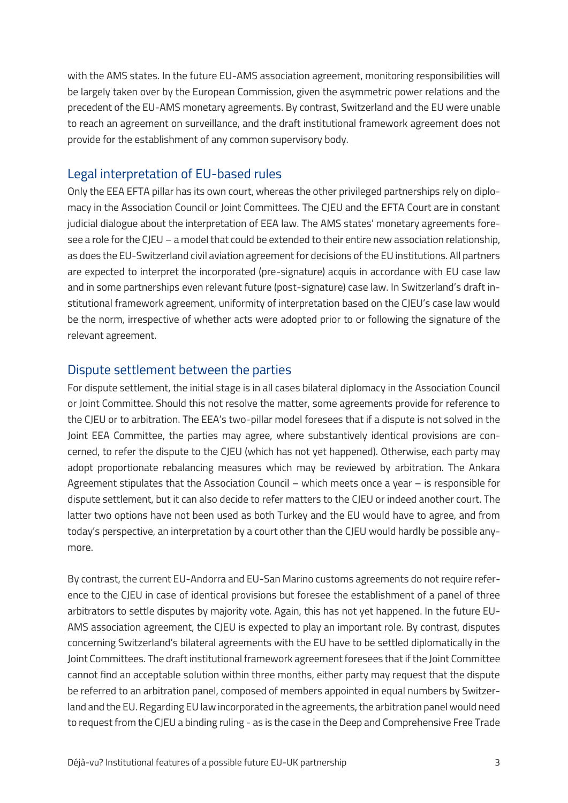with the AMS states. In the future EU-AMS association agreement, monitoring responsibilities will be largely taken over by the European Commission, given the asymmetric power relations and the precedent of the EU-AMS monetary agreements. By contrast, Switzerland and the EU were unable to reach an agreement on surveillance, and the draft institutional framework agreement does not provide for the establishment of any common supervisory body.

### Legal interpretation of EU-based rules

Only the EEA EFTA pillar has its own court, whereas the other privileged partnerships rely on diplomacy in the Association Council or Joint Committees. The CJEU and the EFTA Court are in constant judicial dialogue about the interpretation of EEA law. The AMS states' monetary agreements foresee a role for the CJEU – a model that could be extended to their entire new association relationship, as does the EU-Switzerland civil aviation agreement for decisions of the EU institutions. All partners are expected to interpret the incorporated (pre-signature) acquis in accordance with EU case law and in some partnerships even relevant future (post-signature) case law. In Switzerland's draft institutional framework agreement, uniformity of interpretation based on the CJEU's case law would be the norm, irrespective of whether acts were adopted prior to or following the signature of the relevant agreement.

#### Dispute settlement between the parties

For dispute settlement, the initial stage is in all cases bilateral diplomacy in the Association Council or Joint Committee. Should this not resolve the matter, some agreements provide for reference to the CJEU or to arbitration. The EEA's two-pillar model foresees that if a dispute is not solved in the Joint EEA Committee, the parties may agree, where substantively identical provisions are concerned, to refer the dispute to the CJEU (which has not yet happened). Otherwise, each party may adopt proportionate rebalancing measures which may be reviewed by arbitration. The Ankara Agreement stipulates that the Association Council – which meets once a year – is responsible for dispute settlement, but it can also decide to refer matters to the CJEU or indeed another court. The latter two options have not been used as both Turkey and the EU would have to agree, and from today's perspective, an interpretation by a court other than the CJEU would hardly be possible anymore.

By contrast, the current EU-Andorra and EU-San Marino customs agreements do not require reference to the CJEU in case of identical provisions but foresee the establishment of a panel of three arbitrators to settle disputes by majority vote. Again, this has not yet happened. In the future EU-AMS association agreement, the CJEU is expected to play an important role. By contrast, disputes concerning Switzerland's bilateral agreements with the EU have to be settled diplomatically in the Joint Committees. The draft institutional framework agreement foresees that if the Joint Committee cannot find an acceptable solution within three months, either party may request that the dispute be referred to an arbitration panel, composed of members appointed in equal numbers by Switzerland and the EU. Regarding EU law incorporated in the agreements, the arbitration panel would need to request from the CJEU a binding ruling - as is the case in the Deep and Comprehensive Free Trade